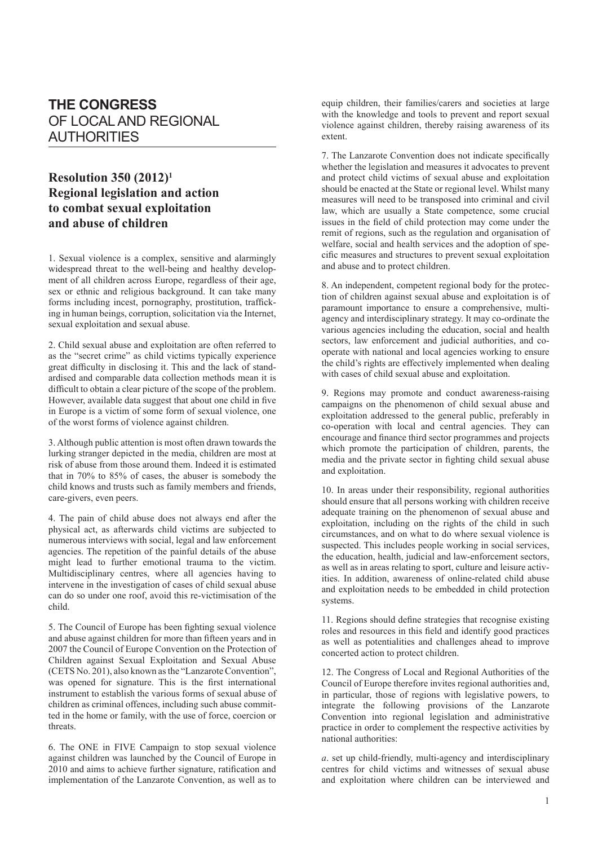## **THE CONGRESS** OF LOCAL AND REGIONAL AUTHORITIES

## **Resolution 350 (2012)1 Regional legislation and action to combat sexual exploitation and abuse of children**

1. Sexual violence is a complex, sensitive and alarmingly widespread threat to the well-being and healthy development of all children across Europe, regardless of their age, sex or ethnic and religious background. It can take many forms including incest, pornography, prostitution, trafficking in human beings, corruption, solicitation via the Internet, sexual exploitation and sexual abuse.

2. Child sexual abuse and exploitation are often referred to as the "secret crime" as child victims typically experience great difficulty in disclosing it. This and the lack of standardised and comparable data collection methods mean it is difficult to obtain a clear picture of the scope of the problem. However, available data suggest that about one child in five in Europe is a victim of some form of sexual violence, one of the worst forms of violence against children.

3. Although public attention is most often drawn towards the lurking stranger depicted in the media, children are most at risk of abuse from those around them. Indeed it is estimated that in 70% to 85% of cases, the abuser is somebody the child knows and trusts such as family members and friends, care-givers, even peers.

4. The pain of child abuse does not always end after the physical act, as afterwards child victims are subjected to numerous interviews with social, legal and law enforcement agencies. The repetition of the painful details of the abuse might lead to further emotional trauma to the victim. Multidisciplinary centres, where all agencies having to intervene in the investigation of cases of child sexual abuse can do so under one roof, avoid this re-victimisation of the child.

5. The Council of Europe has been fighting sexual violence and abuse against children for more than fifteen years and in 2007 the Council of Europe Convention on the Protection of Children against Sexual Exploitation and Sexual Abuse (CETS No. 201), also known as the "Lanzarote Convention", was opened for signature. This is the first international instrument to establish the various forms of sexual abuse of children as criminal offences, including such abuse committed in the home or family, with the use of force, coercion or threats.

6. The ONE in FIVE Campaign to stop sexual violence against children was launched by the Council of Europe in 2010 and aims to achieve further signature, ratification and implementation of the Lanzarote Convention, as well as to equip children, their families/carers and societies at large with the knowledge and tools to prevent and report sexual violence against children, thereby raising awareness of its extent.

7. The Lanzarote Convention does not indicate specifically whether the legislation and measures it advocates to prevent and protect child victims of sexual abuse and exploitation should be enacted at the State or regional level. Whilst many measures will need to be transposed into criminal and civil law, which are usually a State competence, some crucial issues in the field of child protection may come under the remit of regions, such as the regulation and organisation of welfare, social and health services and the adoption of specific measures and structures to prevent sexual exploitation and abuse and to protect children.

8. An independent, competent regional body for the protection of children against sexual abuse and exploitation is of paramount importance to ensure a comprehensive, multiagency and interdisciplinary strategy. It may co-ordinate the various agencies including the education, social and health sectors, law enforcement and judicial authorities, and cooperate with national and local agencies working to ensure the child's rights are effectively implemented when dealing with cases of child sexual abuse and exploitation.

9. Regions may promote and conduct awareness-raising campaigns on the phenomenon of child sexual abuse and exploitation addressed to the general public, preferably in co-operation with local and central agencies. They can encourage and finance third sector programmes and projects which promote the participation of children, parents, the media and the private sector in fighting child sexual abuse and exploitation.

10. In areas under their responsibility, regional authorities should ensure that all persons working with children receive adequate training on the phenomenon of sexual abuse and exploitation, including on the rights of the child in such circumstances, and on what to do where sexual violence is suspected. This includes people working in social services, the education, health, judicial and law-enforcement sectors, as well as in areas relating to sport, culture and leisure activities. In addition, awareness of online-related child abuse and exploitation needs to be embedded in child protection systems.

11. Regions should define strategies that recognise existing roles and resources in this field and identify good practices as well as potentialities and challenges ahead to improve concerted action to protect children.

12. The Congress of Local and Regional Authorities of the Council of Europe therefore invites regional authorities and, in particular, those of regions with legislative powers, to integrate the following provisions of the Lanzarote Convention into regional legislation and administrative practice in order to complement the respective activities by national authorities:

*a*. set up child-friendly, multi-agency and interdisciplinary centres for child victims and witnesses of sexual abuse and exploitation where children can be interviewed and